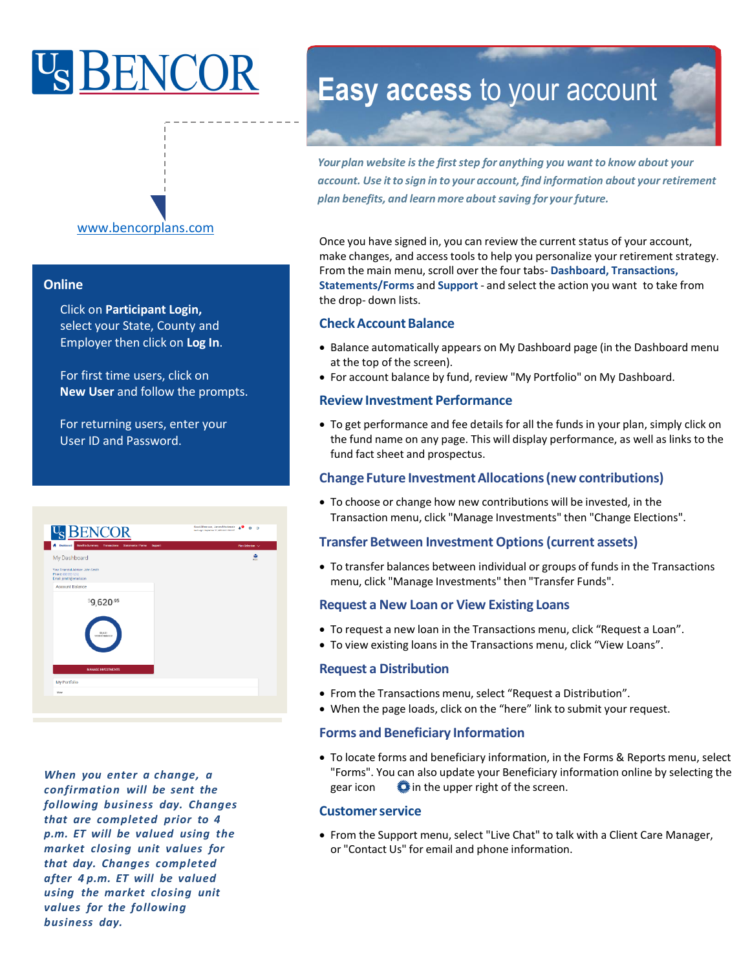# <sup>U</sup>SBENC



#### **Online**

Click on **Participant Login,** select your State, County and Employer then click on **Log In**.

For first time users, click on **New User** and follow the prompts.

For returning users, enter your User ID and Password.

| <b>U<sub>S</sub> BENCOR</b>                                                          | Good Afternoon, James Mackenzie A C 3 G<br>Les Legin September 17, 2219 201 PM 007 |
|--------------------------------------------------------------------------------------|------------------------------------------------------------------------------------|
| <b>A</b> Dashboard<br>Renefits Summary Transactions Statements / Forms<br>Support    | Plan Selection ~                                                                   |
| My Dashboard                                                                         | ŵ<br>Print                                                                         |
| Your Financial Advisor: John Smith<br>Phone: 000-555-1212<br>Email: jsmith@email.com |                                                                                    |
| <b>Account Balance</b>                                                               |                                                                                    |
| \$9,620.95<br>\$9,621<br>Vested Baliance                                             |                                                                                    |
| <b>MANAGE INVESTMENTS</b>                                                            |                                                                                    |
| My Portfolio                                                                         |                                                                                    |

*When you enter a change, a confirmation will be sent the following business day. Changes that are completed prior to 4 p.m. ET will be valued using the market closing unit values for that day. Changes completed after 4 p.m. ET will be valued using the market closing unit values for the following business day.*

## **Easy access** to your account

*Yourplan website isthe firststep for anything you want to know about your account. Use itto sign in to your account, find information about your retirement plan benefits, and learn more about saving for your future.*

Once you have signed in, you can review the current status of your account, make changes, and access tools to help you personalize your retirement strategy. From the main menu, scroll over the four tabs- **Dashboard, Transactions, Statements/Forms** and **Support** - and select the action you want to take from the drop- down lists.

#### **Check Account Balance**

- Balance automatically appears on My Dashboard page (in the Dashboard menu at the top of the screen).
- For account balance by fund, review "My Portfolio" on My Dashboard.

#### **ReviewInvestment Performance**

• To get performance and fee details for all the funds in your plan, simply click on the fund name on any page. This will display performance, as well as links to the fund fact sheet and prospectus.

#### **Change Future InvestmentAllocations(new contributions)**

• To choose or change how new contributions will be invested, in the Transaction menu, click "Manage Investments" then "Change Elections".

#### **Transfer Between Investment Options (current assets)**

• To transfer balances between individual or groups of funds in the Transactions menu, click "Manage Investments" then "Transfer Funds".

#### **Request a New Loan or View Existing Loans**

- To request a new loan in the Transactions menu, click "Request a Loan".
- To view existing loans in the Transactions menu, click "View Loans".

#### **Request a Distribution**

- From the Transactions menu, select "Request a Distribution".
- When the page loads, click on the "here" link to submit your request.

#### **Forms and Beneficiary Information**

• To locate forms and beneficiary information, in the Forms & Reports menu, select "Forms". You can also update your Beneficiary information online by selecting the gear icon  $\ddot{\bullet}$  in the upper right of the screen.

#### **Customerservice**

• From the Support menu, select "Live Chat" to talk with a Client Care Manager, or "Contact Us" for email and phone information.